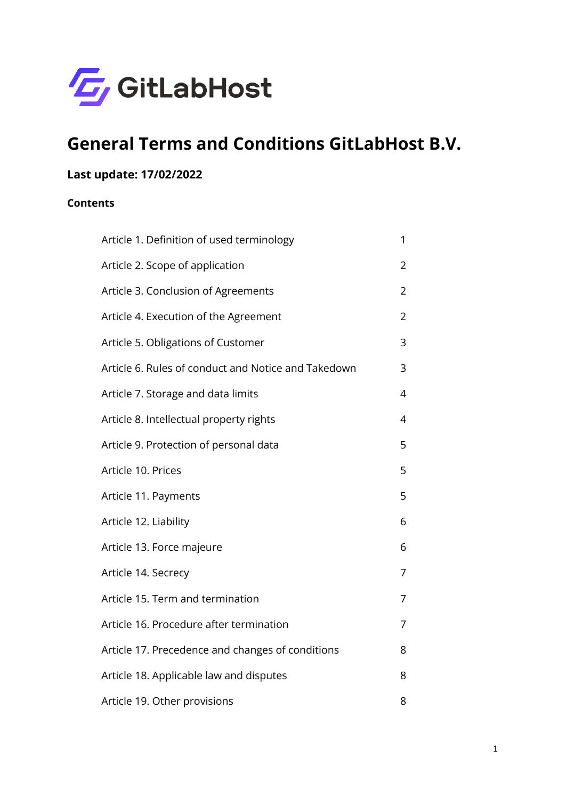

# **General Terms and Conditions GitLabHost B.V.**

# **Last update: 17/02/2022**

#### **Contents**

| Article 1. Definition of used terminology           | 1              |
|-----------------------------------------------------|----------------|
| Article 2. Scope of application                     | $\overline{2}$ |
| Article 3. Conclusion of Agreements                 | 2              |
| Article 4. Execution of the Agreement               | $\overline{2}$ |
| Article 5. Obligations of Customer                  | 3              |
| Article 6. Rules of conduct and Notice and Takedown | 3              |
| Article 7. Storage and data limits                  | 4              |
| Article 8. Intellectual property rights             | 4              |
| Article 9. Protection of personal data              | 5              |
| Article 10. Prices                                  | 5              |
| Article 11. Payments                                | 5              |
| Article 12. Liability                               | 6              |
| Article 13. Force majeure                           | 6              |
| Article 14. Secrecy                                 | 7              |
| Article 15. Term and termination                    | 7              |
| Article 16. Procedure after termination             | 7              |
| Article 17. Precedence and changes of conditions    | 8              |
| Article 18. Applicable law and disputes             | 8              |
| Article 19. Other provisions                        | 8              |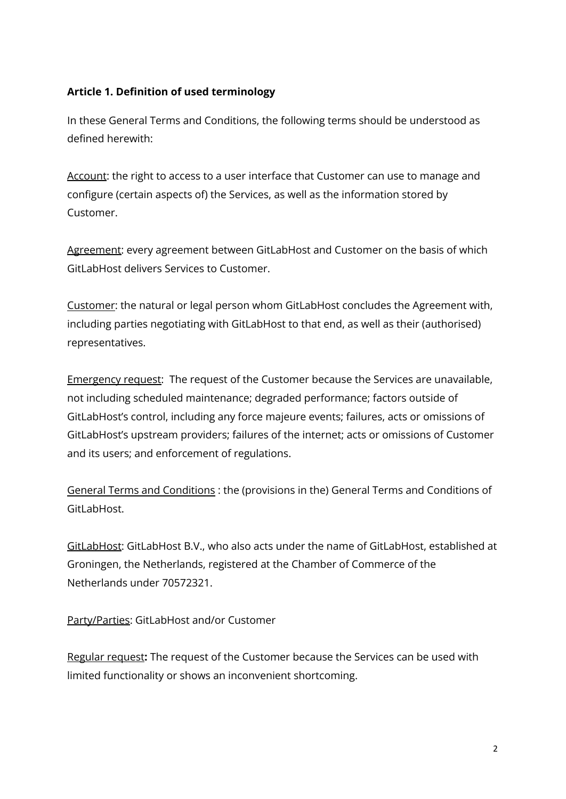# <span id="page-1-0"></span>**Article 1. Definition of used terminology**

In these General Terms and Conditions, the following terms should be understood as defined herewith:

Account: the right to access to a user interface that Customer can use to manage and configure (certain aspects of) the Services, as well as the information stored by Customer.

Agreement: every agreement between GitLabHost and Customer on the basis of which GitLabHost delivers Services to Customer.

Customer: the natural or legal person whom GitLabHost concludes the Agreement with, including parties negotiating with GitLabHost to that end, as well as their (authorised) representatives.

Emergency request: The request of the Customer because the Services are unavailable, not including scheduled maintenance; degraded performance; factors outside of GitLabHost's control, including any force majeure events; failures, acts or omissions of GitLabHost's upstream providers; failures of the internet; acts or omissions of Customer and its users; and enforcement of regulations.

General Terms and Conditions : the (provisions in the) General Terms and Conditions of GitLabHost.

GitLabHost: GitLabHost B.V., who also acts under the name of GitLabHost, established at Groningen, the Netherlands, registered at the Chamber of Commerce of the Netherlands under 70572321.

Party/Parties: GitLabHost and/or Customer

Regular request**:** The request of the Customer because the Services can be used with limited functionality or shows an inconvenient shortcoming.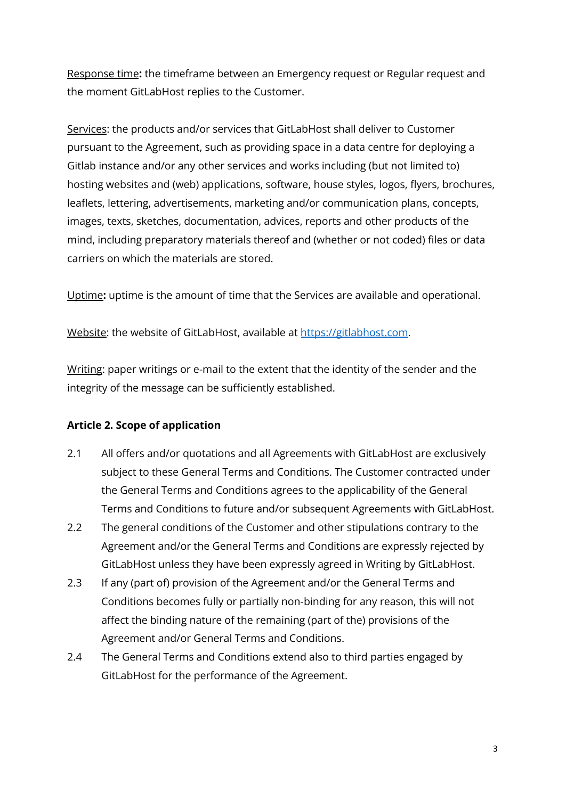Response time**:** the timeframe between an Emergency request or Regular request and the moment GitLabHost replies to the Customer.

Services: the products and/or services that GitLabHost shall deliver to Customer pursuant to the Agreement, such as providing space in a data centre for deploying a Gitlab instance and/or any other services and works including (but not limited to) hosting websites and (web) applications, software, house styles, logos, flyers, brochures, leaflets, lettering, advertisements, marketing and/or communication plans, concepts, images, texts, sketches, documentation, advices, reports and other products of the mind, including preparatory materials thereof and (whether or not coded) files or data carriers on which the materials are stored.

Uptime**:** uptime is the amount of time that the Services are available and operational.

Website: the website of GitLabHost, available at [https://gitlabhost.com.](https://gitlabhost.com)

Writing: paper writings or e-mail to the extent that the identity of the sender and the integrity of the message can be sufficiently established.

# <span id="page-2-0"></span>**Article 2. Scope of application**

- 2.1 All offers and/or quotations and all Agreements with GitLabHost are exclusively subject to these General Terms and Conditions. The Customer contracted under the General Terms and Conditions agrees to the applicability of the General Terms and Conditions to future and/or subsequent Agreements with GitLabHost.
- 2.2 The general conditions of the Customer and other stipulations contrary to the Agreement and/or the General Terms and Conditions are expressly rejected by GitLabHost unless they have been expressly agreed in Writing by GitLabHost.
- 2.3 If any (part of) provision of the Agreement and/or the General Terms and Conditions becomes fully or partially non-binding for any reason, this will not affect the binding nature of the remaining (part of the) provisions of the Agreement and/or General Terms and Conditions.
- 2.4 The General Terms and Conditions extend also to third parties engaged by GitLabHost for the performance of the Agreement.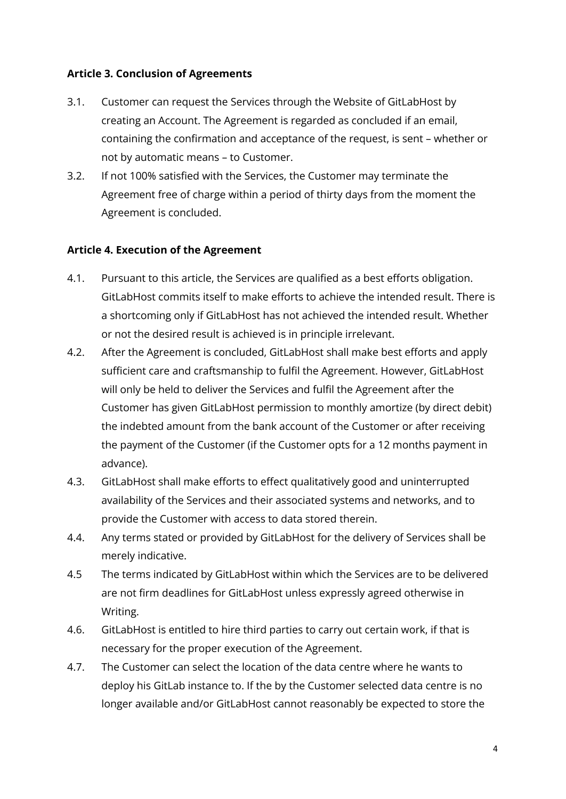#### <span id="page-3-0"></span>**Article 3. Conclusion of Agreements**

- 3.1. Customer can request the Services through the Website of GitLabHost by creating an Account. The Agreement is regarded as concluded if an email, containing the confirmation and acceptance of the request, is sent – whether or not by automatic means – to Customer.
- 3.2. If not 100% satisfied with the Services, the Customer may terminate the Agreement free of charge within a period of thirty days from the moment the Agreement is concluded.

#### <span id="page-3-1"></span>**Article 4. Execution of the Agreement**

- 4.1. Pursuant to this article, the Services are qualified as a best efforts obligation. GitLabHost commits itself to make efforts to achieve the intended result. There is a shortcoming only if GitLabHost has not achieved the intended result. Whether or not the desired result is achieved is in principle irrelevant.
- 4.2. After the Agreement is concluded, GitLabHost shall make best efforts and apply sufficient care and craftsmanship to fulfil the Agreement. However, GitLabHost will only be held to deliver the Services and fulfil the Agreement after the Customer has given GitLabHost permission to monthly amortize (by direct debit) the indebted amount from the bank account of the Customer or after receiving the payment of the Customer (if the Customer opts for a 12 months payment in advance).
- 4.3. GitLabHost shall make efforts to effect qualitatively good and uninterrupted availability of the Services and their associated systems and networks, and to provide the Customer with access to data stored therein.
- 4.4. Any terms stated or provided by GitLabHost for the delivery of Services shall be merely indicative.
- 4.5 The terms indicated by GitLabHost within which the Services are to be delivered are not firm deadlines for GitLabHost unless expressly agreed otherwise in Writing.
- 4.6. GitLabHost is entitled to hire third parties to carry out certain work, if that is necessary for the proper execution of the Agreement.
- 4.7. The Customer can select the location of the data centre where he wants to deploy his GitLab instance to. If the by the Customer selected data centre is no longer available and/or GitLabHost cannot reasonably be expected to store the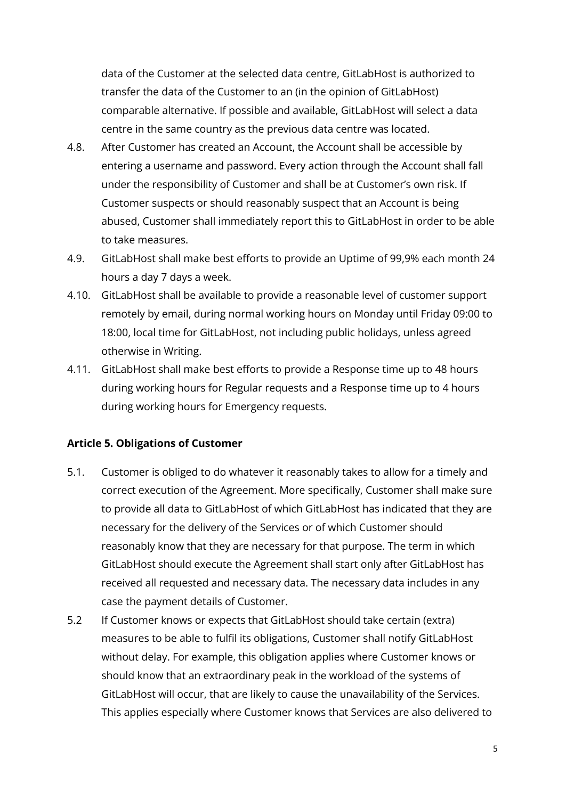data of the Customer at the selected data centre, GitLabHost is authorized to transfer the data of the Customer to an (in the opinion of GitLabHost) comparable alternative. If possible and available, GitLabHost will select a data centre in the same country as the previous data centre was located.

- 4.8. After Customer has created an Account, the Account shall be accessible by entering a username and password. Every action through the Account shall fall under the responsibility of Customer and shall be at Customer's own risk. If Customer suspects or should reasonably suspect that an Account is being abused, Customer shall immediately report this to GitLabHost in order to be able to take measures.
- 4.9. GitLabHost shall make best efforts to provide an Uptime of 99,9% each month 24 hours a day 7 days a week.
- 4.10. GitLabHost shall be available to provide a reasonable level of customer support remotely by email, during normal working hours on Monday until Friday 09:00 to 18:00, local time for GitLabHost, not including public holidays, unless agreed otherwise in Writing.
- 4.11. GitLabHost shall make best efforts to provide a Response time up to 48 hours during working hours for Regular requests and a Response time up to 4 hours during working hours for Emergency requests.

#### <span id="page-4-0"></span>**Article 5. Obligations of Customer**

- 5.1. Customer is obliged to do whatever it reasonably takes to allow for a timely and correct execution of the Agreement. More specifically, Customer shall make sure to provide all data to GitLabHost of which GitLabHost has indicated that they are necessary for the delivery of the Services or of which Customer should reasonably know that they are necessary for that purpose. The term in which GitLabHost should execute the Agreement shall start only after GitLabHost has received all requested and necessary data. The necessary data includes in any case the payment details of Customer.
- 5.2 If Customer knows or expects that GitLabHost should take certain (extra) measures to be able to fulfil its obligations, Customer shall notify GitLabHost without delay. For example, this obligation applies where Customer knows or should know that an extraordinary peak in the workload of the systems of GitLabHost will occur, that are likely to cause the unavailability of the Services. This applies especially where Customer knows that Services are also delivered to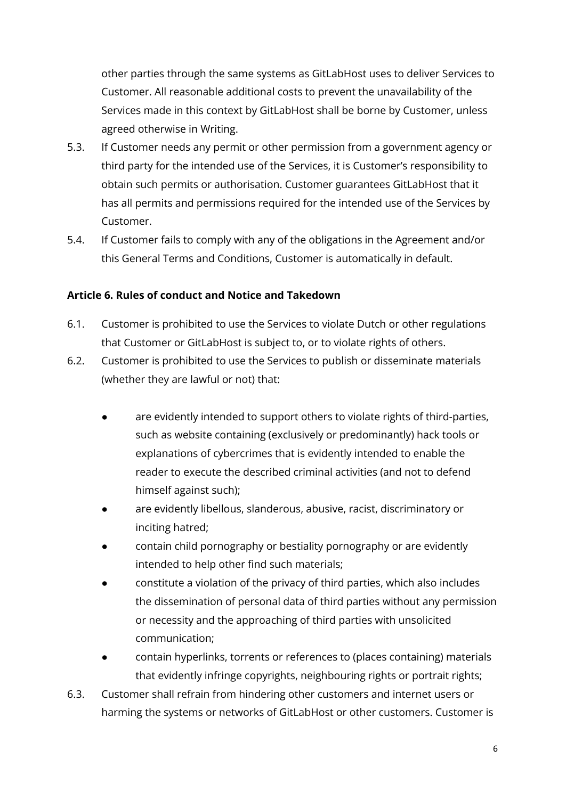other parties through the same systems as GitLabHost uses to deliver Services to Customer. All reasonable additional costs to prevent the unavailability of the Services made in this context by GitLabHost shall be borne by Customer, unless agreed otherwise in Writing.

- 5.3. If Customer needs any permit or other permission from a government agency or third party for the intended use of the Services, it is Customer's responsibility to obtain such permits or authorisation. Customer guarantees GitLabHost that it has all permits and permissions required for the intended use of the Services by Customer.
- 5.4. If Customer fails to comply with any of the obligations in the Agreement and/or this General Terms and Conditions, Customer is automatically in default.

# <span id="page-5-0"></span>**Article 6. Rules of conduct and Notice and Takedown**

- 6.1. Customer is prohibited to use the Services to violate Dutch or other regulations that Customer or GitLabHost is subject to, or to violate rights of others.
- 6.2. Customer is prohibited to use the Services to publish or disseminate materials (whether they are lawful or not) that:
	- are evidently intended to support others to violate rights of third-parties, such as website containing (exclusively or predominantly) hack tools or explanations of cybercrimes that is evidently intended to enable the reader to execute the described criminal activities (and not to defend himself against such);
	- are evidently libellous, slanderous, abusive, racist, discriminatory or inciting hatred;
	- contain child pornography or bestiality pornography or are evidently intended to help other find such materials;
	- constitute a violation of the privacy of third parties, which also includes the dissemination of personal data of third parties without any permission or necessity and the approaching of third parties with unsolicited communication;
	- contain hyperlinks, torrents or references to (places containing) materials that evidently infringe copyrights, neighbouring rights or portrait rights;
- 6.3. Customer shall refrain from hindering other customers and internet users or harming the systems or networks of GitLabHost or other customers. Customer is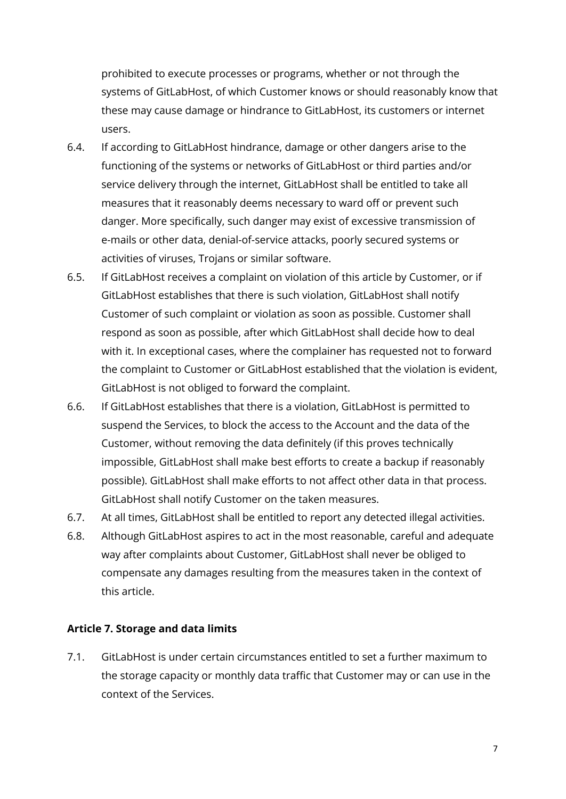prohibited to execute processes or programs, whether or not through the systems of GitLabHost, of which Customer knows or should reasonably know that these may cause damage or hindrance to GitLabHost, its customers or internet users.

- 6.4. If according to GitLabHost hindrance, damage or other dangers arise to the functioning of the systems or networks of GitLabHost or third parties and/or service delivery through the internet, GitLabHost shall be entitled to take all measures that it reasonably deems necessary to ward off or prevent such danger. More specifically, such danger may exist of excessive transmission of e-mails or other data, denial-of-service attacks, poorly secured systems or activities of viruses, Trojans or similar software.
- 6.5. If GitLabHost receives a complaint on violation of this article by Customer, or if GitLabHost establishes that there is such violation, GitLabHost shall notify Customer of such complaint or violation as soon as possible. Customer shall respond as soon as possible, after which GitLabHost shall decide how to deal with it. In exceptional cases, where the complainer has requested not to forward the complaint to Customer or GitLabHost established that the violation is evident, GitLabHost is not obliged to forward the complaint.
- 6.6. If GitLabHost establishes that there is a violation, GitLabHost is permitted to suspend the Services, to block the access to the Account and the data of the Customer, without removing the data definitely (if this proves technically impossible, GitLabHost shall make best efforts to create a backup if reasonably possible). GitLabHost shall make efforts to not affect other data in that process. GitLabHost shall notify Customer on the taken measures.
- 6.7. At all times, GitLabHost shall be entitled to report any detected illegal activities.
- 6.8. Although GitLabHost aspires to act in the most reasonable, careful and adequate way after complaints about Customer, GitLabHost shall never be obliged to compensate any damages resulting from the measures taken in the context of this article.

# <span id="page-6-0"></span>**Article 7. Storage and data limits**

7.1. GitLabHost is under certain circumstances entitled to set a further maximum to the storage capacity or monthly data traffic that Customer may or can use in the context of the Services.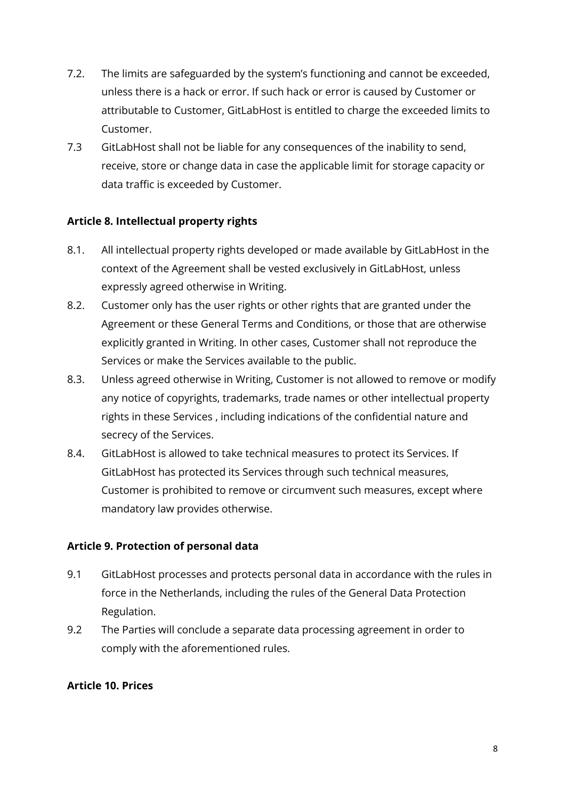- 7.2. The limits are safeguarded by the system's functioning and cannot be exceeded, unless there is a hack or error. If such hack or error is caused by Customer or attributable to Customer, GitLabHost is entitled to charge the exceeded limits to Customer.
- 7.3 GitLabHost shall not be liable for any consequences of the inability to send, receive, store or change data in case the applicable limit for storage capacity or data traffic is exceeded by Customer.

# <span id="page-7-0"></span>**Article 8. Intellectual property rights**

- 8.1. All intellectual property rights developed or made available by GitLabHost in the context of the Agreement shall be vested exclusively in GitLabHost, unless expressly agreed otherwise in Writing.
- 8.2. Customer only has the user rights or other rights that are granted under the Agreement or these General Terms and Conditions, or those that are otherwise explicitly granted in Writing. In other cases, Customer shall not reproduce the Services or make the Services available to the public.
- 8.3. Unless agreed otherwise in Writing, Customer is not allowed to remove or modify any notice of copyrights, trademarks, trade names or other intellectual property rights in these Services , including indications of the confidential nature and secrecy of the Services.
- 8.4. GitLabHost is allowed to take technical measures to protect its Services. If GitLabHost has protected its Services through such technical measures, Customer is prohibited to remove or circumvent such measures, except where mandatory law provides otherwise.

#### <span id="page-7-1"></span>**Article 9. Protection of personal data**

- 9.1 GitLabHost processes and protects personal data in accordance with the rules in force in the Netherlands, including the rules of the General Data Protection Regulation.
- 9.2 The Parties will conclude a separate data processing agreement in order to comply with the aforementioned rules.

# <span id="page-7-2"></span>**Article 10. Prices**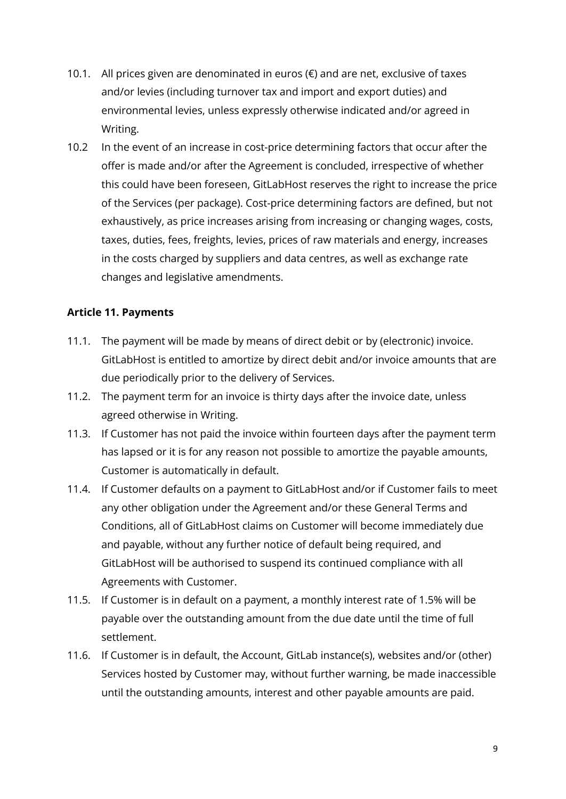- 10.1. All prices given are denominated in euros  $(€)$  and are net, exclusive of taxes and/or levies (including turnover tax and import and export duties) and environmental levies, unless expressly otherwise indicated and/or agreed in Writing.
- 10.2 In the event of an increase in cost-price determining factors that occur after the offer is made and/or after the Agreement is concluded, irrespective of whether this could have been foreseen, GitLabHost reserves the right to increase the price of the Services (per package). Cost-price determining factors are defined, but not exhaustively, as price increases arising from increasing or changing wages, costs, taxes, duties, fees, freights, levies, prices of raw materials and energy, increases in the costs charged by suppliers and data centres, as well as exchange rate changes and legislative amendments.

#### <span id="page-8-0"></span>**Article 11. Payments**

- 11.1. The payment will be made by means of direct debit or by (electronic) invoice. GitLabHost is entitled to amortize by direct debit and/or invoice amounts that are due periodically prior to the delivery of Services.
- 11.2. The payment term for an invoice is thirty days after the invoice date, unless agreed otherwise in Writing.
- 11.3. If Customer has not paid the invoice within fourteen days after the payment term has lapsed or it is for any reason not possible to amortize the payable amounts, Customer is automatically in default.
- 11.4. If Customer defaults on a payment to GitLabHost and/or if Customer fails to meet any other obligation under the Agreement and/or these General Terms and Conditions, all of GitLabHost claims on Customer will become immediately due and payable, without any further notice of default being required, and GitLabHost will be authorised to suspend its continued compliance with all Agreements with Customer.
- 11.5. If Customer is in default on a payment, a monthly interest rate of 1.5% will be payable over the outstanding amount from the due date until the time of full settlement.
- 11.6. If Customer is in default, the Account, GitLab instance(s), websites and/or (other) Services hosted by Customer may, without further warning, be made inaccessible until the outstanding amounts, interest and other payable amounts are paid.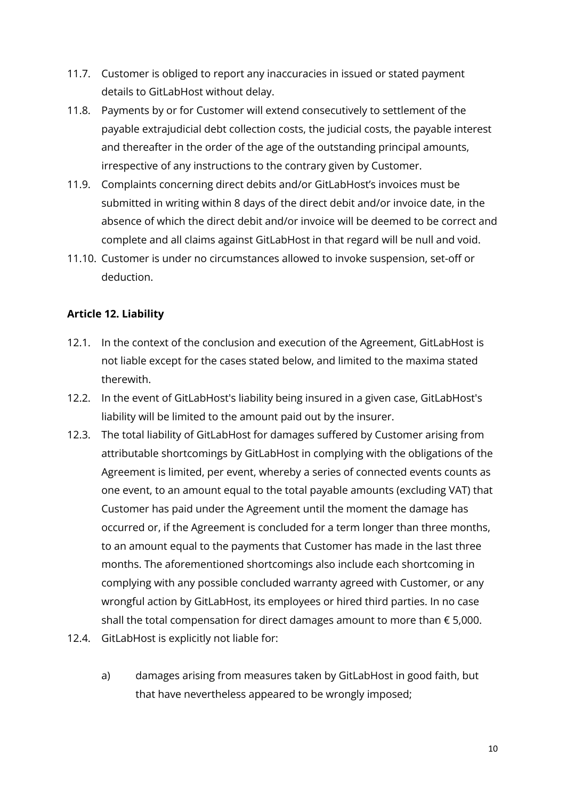- 11.7. Customer is obliged to report any inaccuracies in issued or stated payment details to GitLabHost without delay.
- 11.8. Payments by or for Customer will extend consecutively to settlement of the payable extrajudicial debt collection costs, the judicial costs, the payable interest and thereafter in the order of the age of the outstanding principal amounts, irrespective of any instructions to the contrary given by Customer.
- 11.9. Complaints concerning direct debits and/or GitLabHost's invoices must be submitted in writing within 8 days of the direct debit and/or invoice date, in the absence of which the direct debit and/or invoice will be deemed to be correct and complete and all claims against GitLabHost in that regard will be null and void.
- 11.10. Customer is under no circumstances allowed to invoke suspension, set-off or deduction.

# <span id="page-9-0"></span>**Article 12. Liability**

- 12.1. In the context of the conclusion and execution of the Agreement, GitLabHost is not liable except for the cases stated below, and limited to the maxima stated therewith.
- 12.2. In the event of GitLabHost's liability being insured in a given case, GitLabHost's liability will be limited to the amount paid out by the insurer.
- 12.3. The total liability of GitLabHost for damages suffered by Customer arising from attributable shortcomings by GitLabHost in complying with the obligations of the Agreement is limited, per event, whereby a series of connected events counts as one event, to an amount equal to the total payable amounts (excluding VAT) that Customer has paid under the Agreement until the moment the damage has occurred or, if the Agreement is concluded for a term longer than three months, to an amount equal to the payments that Customer has made in the last three months. The aforementioned shortcomings also include each shortcoming in complying with any possible concluded warranty agreed with Customer, or any wrongful action by GitLabHost, its employees or hired third parties. In no case shall the total compensation for direct damages amount to more than  $\epsilon$  5,000.
- 12.4. GitLabHost is explicitly not liable for:
	- a) damages arising from measures taken by GitLabHost in good faith, but that have nevertheless appeared to be wrongly imposed;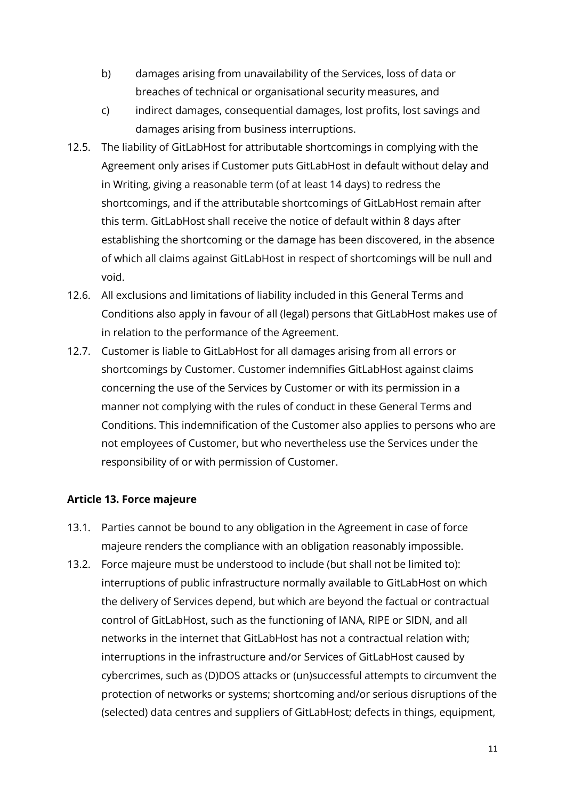- b) damages arising from unavailability of the Services, loss of data or breaches of technical or organisational security measures, and
- c) indirect damages, consequential damages, lost profits, lost savings and damages arising from business interruptions.
- 12.5. The liability of GitLabHost for attributable shortcomings in complying with the Agreement only arises if Customer puts GitLabHost in default without delay and in Writing, giving a reasonable term (of at least 14 days) to redress the shortcomings, and if the attributable shortcomings of GitLabHost remain after this term. GitLabHost shall receive the notice of default within 8 days after establishing the shortcoming or the damage has been discovered, in the absence of which all claims against GitLabHost in respect of shortcomings will be null and void.
- 12.6. All exclusions and limitations of liability included in this General Terms and Conditions also apply in favour of all (legal) persons that GitLabHost makes use of in relation to the performance of the Agreement.
- 12.7. Customer is liable to GitLabHost for all damages arising from all errors or shortcomings by Customer. Customer indemnifies GitLabHost against claims concerning the use of the Services by Customer or with its permission in a manner not complying with the rules of conduct in these General Terms and Conditions. This indemnification of the Customer also applies to persons who are not employees of Customer, but who nevertheless use the Services under the responsibility of or with permission of Customer.

# <span id="page-10-0"></span>**Article 13. Force majeure**

- 13.1. Parties cannot be bound to any obligation in the Agreement in case of force majeure renders the compliance with an obligation reasonably impossible.
- 13.2. Force majeure must be understood to include (but shall not be limited to): interruptions of public infrastructure normally available to GitLabHost on which the delivery of Services depend, but which are beyond the factual or contractual control of GitLabHost, such as the functioning of IANA, RIPE or SIDN, and all networks in the internet that GitLabHost has not a contractual relation with; interruptions in the infrastructure and/or Services of GitLabHost caused by cybercrimes, such as (D)DOS attacks or (un)successful attempts to circumvent the protection of networks or systems; shortcoming and/or serious disruptions of the (selected) data centres and suppliers of GitLabHost; defects in things, equipment,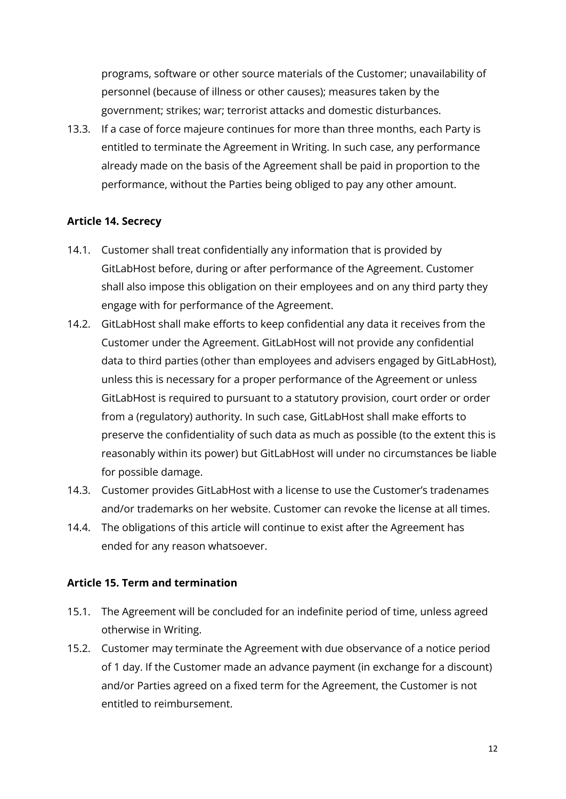programs, software or other source materials of the Customer; unavailability of personnel (because of illness or other causes); measures taken by the government; strikes; war; terrorist attacks and domestic disturbances.

13.3. If a case of force majeure continues for more than three months, each Party is entitled to terminate the Agreement in Writing. In such case, any performance already made on the basis of the Agreement shall be paid in proportion to the performance, without the Parties being obliged to pay any other amount.

# <span id="page-11-0"></span>**Article 14. Secrecy**

- 14.1. Customer shall treat confidentially any information that is provided by GitLabHost before, during or after performance of the Agreement. Customer shall also impose this obligation on their employees and on any third party they engage with for performance of the Agreement.
- 14.2. GitLabHost shall make efforts to keep confidential any data it receives from the Customer under the Agreement. GitLabHost will not provide any confidential data to third parties (other than employees and advisers engaged by GitLabHost), unless this is necessary for a proper performance of the Agreement or unless GitLabHost is required to pursuant to a statutory provision, court order or order from a (regulatory) authority. In such case, GitLabHost shall make efforts to preserve the confidentiality of such data as much as possible (to the extent this is reasonably within its power) but GitLabHost will under no circumstances be liable for possible damage.
- 14.3. Customer provides GitLabHost with a license to use the Customer's tradenames and/or trademarks on her website. Customer can revoke the license at all times.
- 14.4. The obligations of this article will continue to exist after the Agreement has ended for any reason whatsoever.

#### <span id="page-11-1"></span>**Article 15. Term and termination**

- 15.1. The Agreement will be concluded for an indefinite period of time, unless agreed otherwise in Writing.
- 15.2. Customer may terminate the Agreement with due observance of a notice period of 1 day. If the Customer made an advance payment (in exchange for a discount) and/or Parties agreed on a fixed term for the Agreement, the Customer is not entitled to reimbursement.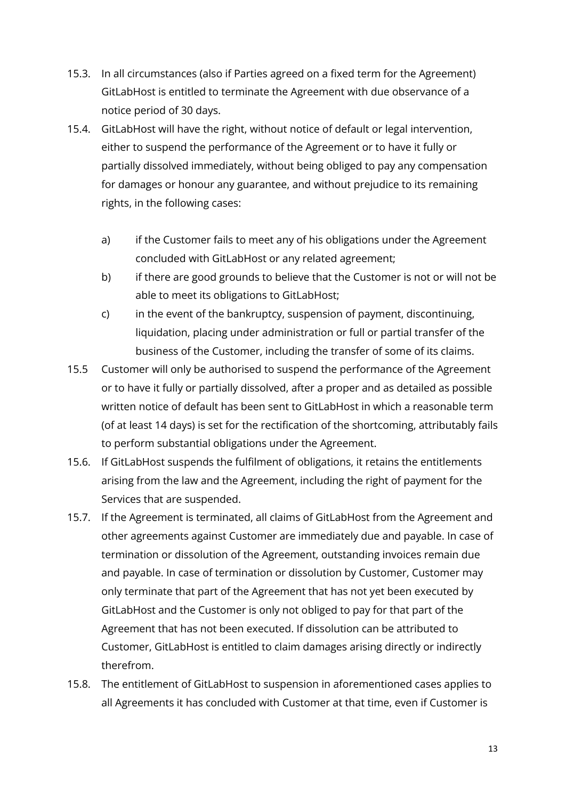- 15.3. In all circumstances (also if Parties agreed on a fixed term for the Agreement) GitLabHost is entitled to terminate the Agreement with due observance of a notice period of 30 days.
- 15.4. GitLabHost will have the right, without notice of default or legal intervention, either to suspend the performance of the Agreement or to have it fully or partially dissolved immediately, without being obliged to pay any compensation for damages or honour any guarantee, and without prejudice to its remaining rights, in the following cases:
	- a) if the Customer fails to meet any of his obligations under the Agreement concluded with GitLabHost or any related agreement;
	- b) if there are good grounds to believe that the Customer is not or will not be able to meet its obligations to GitLabHost;
	- c) in the event of the bankruptcy, suspension of payment, discontinuing, liquidation, placing under administration or full or partial transfer of the business of the Customer, including the transfer of some of its claims.
- 15.5 Customer will only be authorised to suspend the performance of the Agreement or to have it fully or partially dissolved, after a proper and as detailed as possible written notice of default has been sent to GitLabHost in which a reasonable term (of at least 14 days) is set for the rectification of the shortcoming, attributably fails to perform substantial obligations under the Agreement.
- 15.6. If GitLabHost suspends the fulfilment of obligations, it retains the entitlements arising from the law and the Agreement, including the right of payment for the Services that are suspended.
- 15.7. If the Agreement is terminated, all claims of GitLabHost from the Agreement and other agreements against Customer are immediately due and payable. In case of termination or dissolution of the Agreement, outstanding invoices remain due and payable. In case of termination or dissolution by Customer, Customer may only terminate that part of the Agreement that has not yet been executed by GitLabHost and the Customer is only not obliged to pay for that part of the Agreement that has not been executed. If dissolution can be attributed to Customer, GitLabHost is entitled to claim damages arising directly or indirectly therefrom.
- 15.8. The entitlement of GitLabHost to suspension in aforementioned cases applies to all Agreements it has concluded with Customer at that time, even if Customer is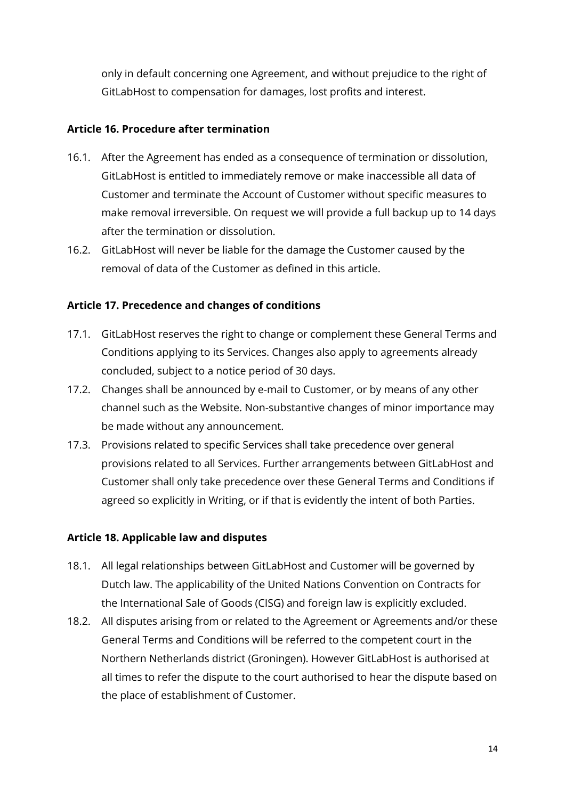only in default concerning one Agreement, and without prejudice to the right of GitLabHost to compensation for damages, lost profits and interest.

# <span id="page-13-0"></span>**Article 16. Procedure after termination**

- 16.1. After the Agreement has ended as a consequence of termination or dissolution, GitLabHost is entitled to immediately remove or make inaccessible all data of Customer and terminate the Account of Customer without specific measures to make removal irreversible. On request we will provide a full backup up to 14 days after the termination or dissolution.
- 16.2. GitLabHost will never be liable for the damage the Customer caused by the removal of data of the Customer as defined in this article.

#### <span id="page-13-1"></span>**Article 17. Precedence and changes of conditions**

- 17.1. GitLabHost reserves the right to change or complement these General Terms and Conditions applying to its Services. Changes also apply to agreements already concluded, subject to a notice period of 30 days.
- 17.2. Changes shall be announced by e-mail to Customer, or by means of any other channel such as the Website. Non-substantive changes of minor importance may be made without any announcement.
- 17.3. Provisions related to specific Services shall take precedence over general provisions related to all Services. Further arrangements between GitLabHost and Customer shall only take precedence over these General Terms and Conditions if agreed so explicitly in Writing, or if that is evidently the intent of both Parties.

#### <span id="page-13-2"></span>**Article 18. Applicable law and disputes**

- 18.1. All legal relationships between GitLabHost and Customer will be governed by Dutch law. The applicability of the United Nations Convention on Contracts for the International Sale of Goods (CISG) and foreign law is explicitly excluded.
- 18.2. All disputes arising from or related to the Agreement or Agreements and/or these General Terms and Conditions will be referred to the competent court in the Northern Netherlands district (Groningen). However GitLabHost is authorised at all times to refer the dispute to the court authorised to hear the dispute based on the place of establishment of Customer.